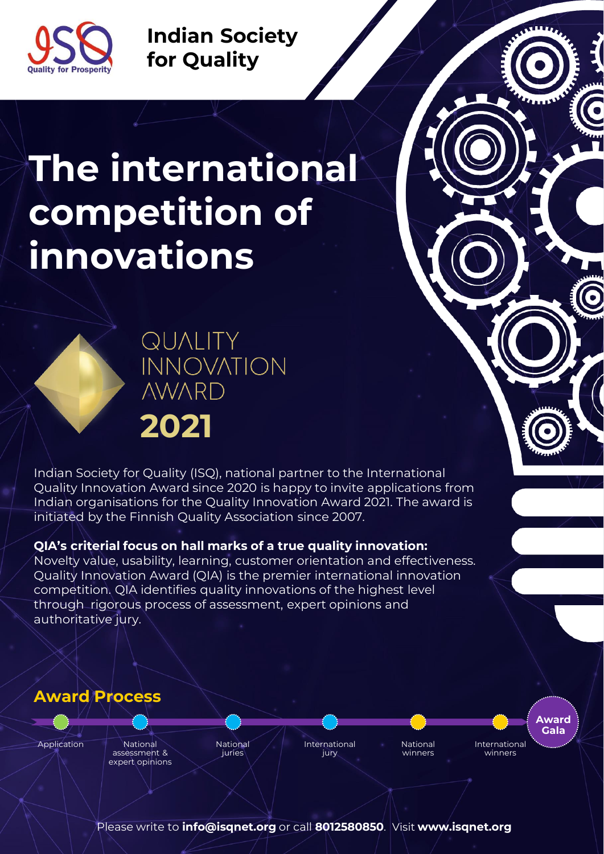

**Indian Society for Quality**

# **The international competition of innovations**



**QUALITY INNOVATION NWARD 2021**

Indian Society for Quality (ISQ), national partner to the International Quality Innovation Award since 2020 is happy to invite applications from Indian organisations for the Quality Innovation Award 2021. The award is initiated by the Finnish Quality Association since 2007.

# **QIA's criterial focus on hall marks of a true quality innovation:**

Novelty value, usability, learning, customer orientation and effectiveness. Quality Innovation Award (QIA) is the premier international innovation competition. QIA identifies quality innovations of the highest level through rigorous process of assessment, expert opinions and authoritative jury.

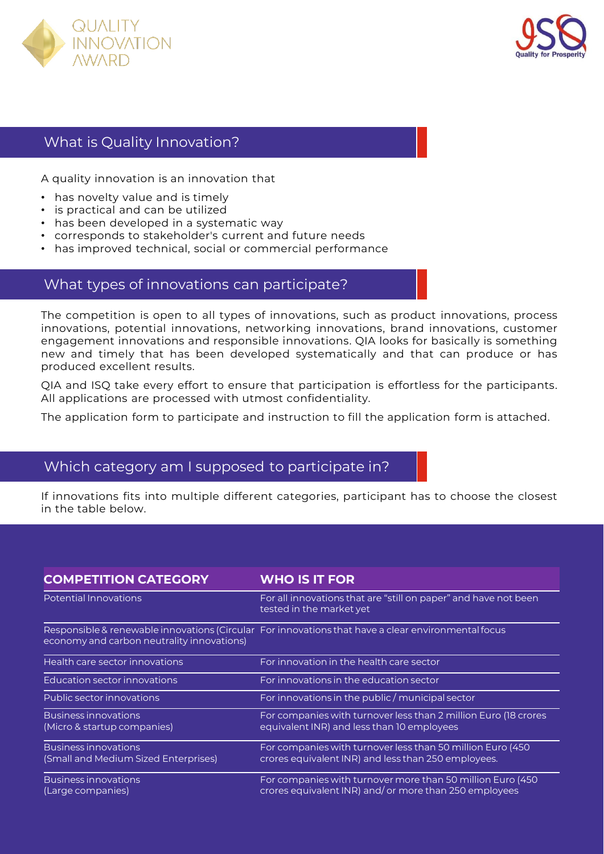



# What is Quality Innovation?

A quality innovation is an innovation that

- has novelty value and is timely
- is practical and can be utilized
- has been developed in a systematic way
- corresponds to stakeholder's current and future needs
- has improved technical, social or commercial performance

# What types of innovations can participate?

The competition is open to all types of innovations, such as product innovations, process innovations, potential innovations, networking innovations, brand innovations, customer engagement innovations and responsible innovations. QIA looks for basically is something new and timely that has been developed systematically and that can produce or has produced excellent results.

QIA and ISQ take every effort to ensure that participation is effortless for the participants. All applications are processed with utmost confidentiality.

The application form to participate and instruction to fill the application form is attached.

# Which category am I supposed to participate in?

If innovations fits into multiple different categories, participant has to choose the closest in the table below.

| <b>COMPETITION CATEGORY</b>                                         | <b>WHO IS IT FOR</b>                                                                                                |  |
|---------------------------------------------------------------------|---------------------------------------------------------------------------------------------------------------------|--|
| Potential Innovations                                               | For all innovations that are "still on paper" and have not been<br>tested in the market yet                         |  |
| economy and carbon neutrality innovations)                          | Responsible & renewable innovations (Circular For innovations that have a clear environmental focus                 |  |
| Health care sector innovations                                      | For innovation in the health care sector                                                                            |  |
| Education sector innovations                                        | For innovations in the education sector                                                                             |  |
| Public sector innovations                                           | For innovations in the public / municipal sector                                                                    |  |
| <b>Business innovations</b><br>(Micro & startup companies)          | For companies with turnover less than 2 million Euro (18 crores<br>equivalent INR) and less than 10 employees       |  |
| <b>Business innovations</b><br>(Small and Medium Sized Enterprises) | For companies with turnover less than 50 million Euro (450<br>crores equivalent INR) and less than 250 employees.   |  |
| <b>Business innovations</b><br>(Large companies)                    | For companies with turnover more than 50 million Euro (450<br>crores equivalent INR) and/or more than 250 employees |  |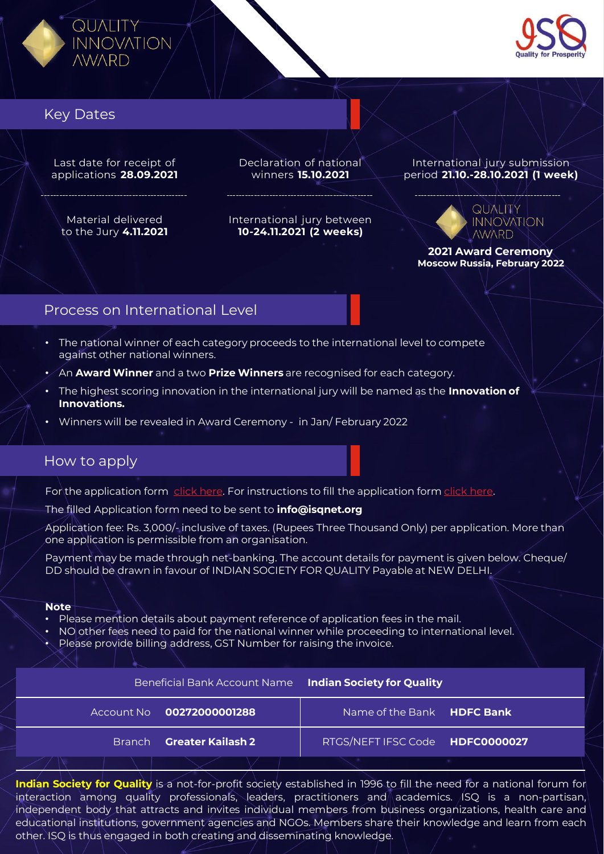



# Key Dates

Last date for receipt of applications **28.09.2021**

Material delivered to the Jury **4.11.2021** Declaration of national winners **15.10.2021**

International jury between **10-24.11.2021 (2 weeks)**

International jury submission period **21.10.-28.10.2021 (1 week)** 

#### **QUALITY INNOVATION AWARD**

**2021 Award Ceremony Moscow Russia, February 2022**

# Process on International Level

- The national winner of each category proceeds to the international level to compete against other national winners.
- An **Award Winner** and a two **Prize Winners** are recognised for each category.
- The highest scoring innovation in the international jury will be named as the **Innovation of Innovations.**
- Winners will be revealed in Award Ceremony in Jan/ February 2022

# How to apply

For the application form [click here.](https://1drv.ms/w/s!AoqLWPzaD1Mzg9B0nMlCmnmpXmyyUQ?e=kgenVb) For instructions to fill the application form [click here](https://1drv.ms/b/s!AoqLWPzaD1Mzg9Bsvu-LhWuDikylBg?e=Cu0oOv).

The filled Application form need to be sent to **info@isqnet.org**

Application fee: Rs. 3,000/- inclusive of taxes. (Rupees Three Thousand Only) per application. More than one application is permissible from an organisation.

Payment may be made through net-banking. The account details for payment is given below. Cheque/ DD should be drawn in favour of INDIAN SOCIETY FOR QUALITY Payable at NEW DELHI.

#### **Note**

Please mention details about payment reference of application fees in the mail.

- NO other fees need to paid for the national winner while proceeding to international level.
- Please provide billing address, GST Number for raising the invoice.

|                           | Beneficial Bank Account Name Indian Society for Quality |  |
|---------------------------|---------------------------------------------------------|--|
| Account No 00272000001288 | Name of the Bank HDFC Bank                              |  |
| Branch Greater Kailash 2  | RTGS/NEFT IFSC Code HDFC0000027                         |  |
|                           |                                                         |  |

**Indian Society for Quality** is a not-for-profit society established in 1996 to fill the need for a national forum for interaction among quality professionals, leaders, practitioners and academics. ISQ is a non-partisan, independent body that attracts and invites individual members from business organizations, health care and educational institutions, government agencies and NGOs. Members share their knowledge and learn from each other. ISQ is thus engaged in both creating and disseminating knowledge.